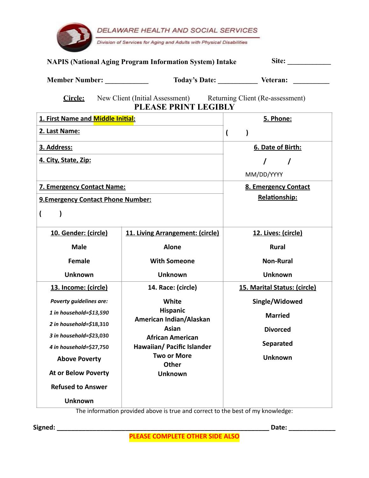|                                    | DELAWARE HEALTH AND SOCIAL SERVICES<br>Division of Services for Aging and Adults with Physical Disabilities |                                     |
|------------------------------------|-------------------------------------------------------------------------------------------------------------|-------------------------------------|
|                                    | <b>NAPIS (National Aging Program Information System) Intake</b>                                             | Site:                               |
| <b>Member Number:</b>              |                                                                                                             | Today's Date: Veteran:              |
| <b>Circle:</b>                     | New Client (Initial Assessment) Returning Client (Re-assessment)<br>PLEASE PRINT LEGIBLY                    |                                     |
| 1. First Name and Middle Initial:  |                                                                                                             | 5. Phone:                           |
| 2. Last Name:                      |                                                                                                             | (                                   |
| 3. Address:                        |                                                                                                             | 6. Date of Birth:                   |
| 4. City, State, Zip:               |                                                                                                             | $\prime$                            |
|                                    |                                                                                                             | MM/DD/YYYY                          |
| <b>7. Emergency Contact Name:</b>  |                                                                                                             | 8. Emergency Contact                |
| 9. Emergency Contact Phone Number: |                                                                                                             | Relationship:                       |
| $\overline{\mathbf{r}}$            |                                                                                                             |                                     |
| 10. Gender: (circle)               | 11. Living Arrangement: (circle)                                                                            | 12. Lives: (circle)                 |
| <b>Male</b>                        | <b>Alone</b>                                                                                                | <b>Rural</b>                        |
| <b>Female</b>                      | <b>With Someone</b>                                                                                         | <b>Non-Rural</b>                    |
| <b>Unknown</b>                     | <b>Unknown</b>                                                                                              | <b>Unknown</b>                      |
| 13. Income: (circle)               | 14. Race: (circle)                                                                                          | <b>15. Marital Status: (circle)</b> |
| Poverty guidelines are:            | White                                                                                                       | Single/Widowed                      |
| 1 in household=\$13,590            | <b>Hispanic</b>                                                                                             | <b>Married</b>                      |
| 2 in household=\$18,310            | American Indian/Alaskan<br>Asian                                                                            | <b>Divorced</b>                     |
| 3 in household=\$23,030            | <b>African American</b>                                                                                     |                                     |
| 4 in household=\$27,750            | Hawaiian/ Pacific Islander                                                                                  | Separated                           |
| <b>Above Poverty</b>               | <b>Two or More</b><br><b>Other</b>                                                                          | <b>Unknown</b>                      |
| <b>At or Below Poverty</b>         | <b>Unknown</b>                                                                                              |                                     |
| <b>Refused to Answer</b>           |                                                                                                             |                                     |
| <b>Unknown</b>                     |                                                                                                             |                                     |
|                                    |                                                                                                             |                                     |

The information provided above is true and correct to the best of my knowledge:

**Signed: \_\_\_\_\_\_\_\_\_\_\_\_\_\_\_\_\_\_\_\_\_\_\_\_\_\_\_\_\_\_\_\_\_\_\_\_\_\_\_\_\_\_\_\_\_\_\_\_\_\_\_\_\_\_\_\_\_\_\_ Date: \_\_\_\_\_\_\_\_\_\_\_\_\_**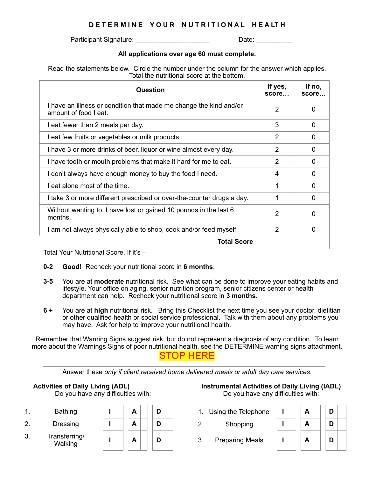## **D E T E R M I N E Y O U R N U T R I T I O N A L H E A LT H**

Participant Signature: \_\_\_\_\_\_\_\_\_\_\_\_\_\_\_\_\_\_\_\_\_\_\_\_\_\_\_\_\_\_\_\_\_Date: \_\_\_\_\_\_\_\_\_\_\_\_\_\_\_\_\_\_

### **All applications over age 60 must complete.**

Read the statements below. Circle the number under the column for the answer which applies. Total the nutritional score at the bottom.

| Question                                                                                    | If yes,<br>score | If no.<br>score |
|---------------------------------------------------------------------------------------------|------------------|-----------------|
| I have an illness or condition that made me change the kind and/or<br>amount of food I eat. | 2                | 0               |
| I eat fewer than 2 meals per day.                                                           | 3                | 0               |
| I eat few fruits or vegetables or milk products.                                            | 2                | $\Omega$        |
| I have 3 or more drinks of beer, liquor or wine almost every day.                           | $\overline{2}$   | 0               |
| I have tooth or mouth problems that make it hard for me to eat.                             | $\overline{2}$   | 0               |
| I don't always have enough money to buy the food I need.                                    | 4                | 0               |
| I eat alone most of the time.                                                               | 1                | 0               |
| I take 3 or more different prescribed or over-the-counter drugs a day.                      | 1                | 0               |
| Without wanting to, I have lost or gained 10 pounds in the last 6<br>months.                | 2                | 0               |
| I am not always physically able to shop, cook and/or feed myself.                           | 2                | $\Omega$        |
| <b>Total Score</b>                                                                          |                  |                 |

Total Your Nutritional Score. If it's –

- **0-2 Good!** Recheck your nutritional score in **6 months**.
- **3-5** You are at **moderate** nutritional risk. See what can be done to improve your eating habits and lifestyle. Your office on aging, senior nutrition program, senior citizens center or health department can help. Recheck your nutritional score in **3 months**.
- **6 +** You are at **high** nutritional risk. Bring this Checklist the next time you see your doctor, dietitian or other qualified health or social service professional. Talk with them about any problems you may have. Ask for help to improve your nutritional health.

Remember that Warning Signs suggest risk, but do not represent a diagnosis of any condition. To learn more about the Warnings Signs of poor nutritional health, see the DETERMINE warning signs attachment. STOP HERE

Answer these *only if client received home delivered meals or adult day care services.*

Do you have any difficulties with: Do you have any difficulties with:

- 
- 
- 3. Transferring/

| 1. | <b>Bathing</b>           | A | Using the Telephone               |   | D |
|----|--------------------------|---|-----------------------------------|---|---|
|    |                          |   |                                   | Ē |   |
| 2. | Dressing                 | A | Shopping                          | Ē | D |
| 3. | Transferring/<br>Walking | A | <b>Preparing Meals</b><br>ຊ<br>J. | A | D |

# **Activities of Daily Living (ADL) Instrumental Activities of Daily Living (IADL)**

- 1. Bathing **I A D D** 1. Using the Telephone
	-
	-

| A | D |
|---|---|
| A | D |
| A | D |